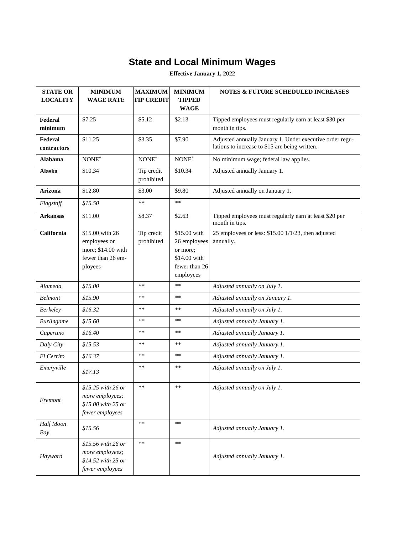## **State and Local Minimum Wages**

**Effective January 1, 2022**

| <b>STATE OR</b><br><b>LOCALITY</b> | <b>MINIMUM</b><br><b>WAGE RATE</b>                                                    | <b>MAXIMUM</b><br><b>TIP CREDIT</b> | <b>MINIMUM</b><br><b>TIPPED</b><br><b>WAGE</b>                                         | <b>NOTES &amp; FUTURE SCHEDULED INCREASES</b>                                                              |
|------------------------------------|---------------------------------------------------------------------------------------|-------------------------------------|----------------------------------------------------------------------------------------|------------------------------------------------------------------------------------------------------------|
| Federal<br>minimum                 | \$7.25                                                                                | \$5.12                              | \$2.13                                                                                 | Tipped employees must regularly earn at least \$30 per<br>month in tips.                                   |
| Federal<br>contractors             | \$11.25                                                                               | \$3.35                              | \$7.90                                                                                 | Adjusted annually January 1. Under executive order regu-<br>lations to increase to \$15 are being written. |
| Alabama                            | $\text{NONE}^*$                                                                       | NONE*                               | $\textsf{NONE}^*$                                                                      | No minimum wage; federal law applies.                                                                      |
| <b>Alaska</b>                      | \$10.34                                                                               | Tip credit<br>prohibited            | \$10.34                                                                                | Adjusted annually January 1.                                                                               |
| Arizona                            | \$12.80                                                                               | \$3.00                              | \$9.80                                                                                 | Adjusted annually on January 1.                                                                            |
| Flagstaff                          | \$15.50                                                                               | $*\ast$                             | $\ast\ast$                                                                             |                                                                                                            |
| <b>Arkansas</b>                    | \$11.00                                                                               | \$8.37                              | \$2.63                                                                                 | Tipped employees must regularly earn at least \$20 per<br>month in tips.                                   |
| California                         | \$15.00 with 26<br>employees or<br>more; \$14.00 with<br>fewer than 26 em-<br>ployees | Tip credit<br>prohibited            | \$15.00 with<br>26 employees<br>or more;<br>\$14.00 with<br>fewer than 26<br>employees | 25 employees or less: \$15.00 1/1/23, then adjusted<br>annually.                                           |
| Alameda                            | \$15.00                                                                               | $*\ast$                             | $\ast\ast$                                                                             | Adjusted annually on July 1.                                                                               |
| <b>Belmont</b>                     | \$15.90                                                                               | **                                  | $**$                                                                                   | Adjusted annually on January 1.                                                                            |
| <b>Berkeley</b>                    | \$16.32                                                                               | **                                  | $**$                                                                                   | Adjusted annually on July 1.                                                                               |
| <b>Burlingame</b>                  | \$15.60                                                                               | **                                  | **                                                                                     | Adjusted annually January 1.                                                                               |
| Cupertino                          | \$16.40                                                                               | $**$                                | $\ast\ast$                                                                             | Adjusted annually January 1.                                                                               |
| Daly City                          | \$15.53                                                                               | $**$                                | $**$                                                                                   | Adjusted annually January 1.                                                                               |
| El Cerrito                         | \$16.37                                                                               | **                                  | $**$                                                                                   | Adjusted annually January 1.                                                                               |
| Emeryville                         | \$17.13                                                                               | **                                  | **                                                                                     | Adjusted annually on July 1.                                                                               |
| Fremont                            | \$15.25 with 26 or<br>more employees;<br>\$15.00 with 25 or<br>fewer employees        | $\ast\ast$                          | $\ast\ast$                                                                             | Adjusted annually on July 1.                                                                               |
| Half Moon<br>Bay                   | \$15.56                                                                               | $\ast\ast$                          | $\ast\ast$                                                                             | Adjusted annually January 1.                                                                               |
| Hayward                            | \$15.56 with 26 or<br>more employees;<br>\$14.52 with 25 or<br>fewer employees        | $\ast\ast$                          | $\ast$                                                                                 | Adjusted annually January 1.                                                                               |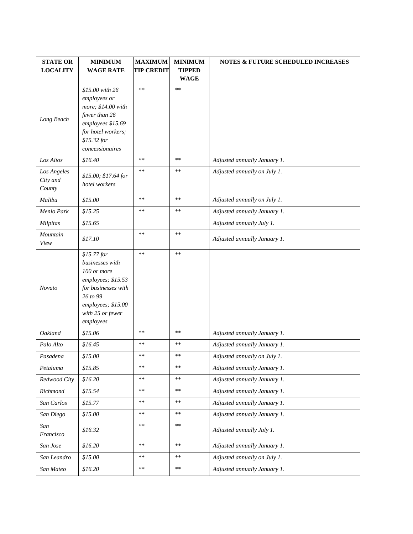| <b>STATE OR</b><br><b>LOCALITY</b> | <b>MINIMUM</b><br><b>WAGE RATE</b>                                                                                                                             | <b>MAXIMUM</b><br><b>TIP CREDIT</b> | <b>MINIMUM</b><br><b>TIPPED</b><br><b>WAGE</b> | <b>NOTES &amp; FUTURE SCHEDULED INCREASES</b> |
|------------------------------------|----------------------------------------------------------------------------------------------------------------------------------------------------------------|-------------------------------------|------------------------------------------------|-----------------------------------------------|
| Long Beach                         | \$15.00 with 26<br>employees or<br>more; \$14.00 with<br>fewer than 26<br>employees \$15.69<br>for hotel workers;<br>\$15.32 for<br>concessionaires            | $*\ast$                             | $\ast\ast$                                     |                                               |
| Los Altos                          | \$16.40                                                                                                                                                        | **                                  | $\ast\ast$                                     | Adjusted annually January 1.                  |
| Los Angeles<br>City and<br>County  | \$15.00; \$17.64 for<br>hotel workers                                                                                                                          | **                                  | $**$                                           | Adjusted annually on July 1.                  |
| Malibu                             | \$15.00                                                                                                                                                        | $\ast\ast$                          | $\ast\ast$                                     | Adjusted annually on July 1.                  |
| Menlo Park                         | \$15.25                                                                                                                                                        | **                                  | $**$                                           | Adjusted annually January 1.                  |
| Milpitas                           | \$15.65                                                                                                                                                        |                                     |                                                | Adjusted annually July 1.                     |
| Mountain<br>View                   | \$17.10                                                                                                                                                        | **                                  | $\ast\ast$                                     | Adjusted annually January 1.                  |
| <b>Novato</b>                      | $$15.77$ for<br>businesses with<br>100 or more<br>employees; \$15.53<br>for businesses with<br>26 to 99<br>employees; \$15.00<br>with 25 or fewer<br>employees | **                                  | $**$                                           |                                               |
| Oakland                            | \$15.06                                                                                                                                                        | $**$                                | $\ast\ast$                                     | Adjusted annually January 1.                  |
| Palo Alto                          | \$16.45                                                                                                                                                        | **                                  | $**$                                           | Adjusted annually January 1.                  |
| Pasadena                           | \$15.00                                                                                                                                                        | **                                  | $**$                                           | Adjusted annually on July 1.                  |
| Petaluma                           | \$15.85                                                                                                                                                        | **                                  | **                                             | Adjusted annually January 1.                  |
| Redwood City                       | \$16.20                                                                                                                                                        | **                                  | $\ast\ast$                                     | Adjusted annually January 1.                  |
| Richmond                           | \$15.54                                                                                                                                                        | **                                  | $**$                                           | Adjusted annually January 1.                  |
| San Carlos                         | \$15.77                                                                                                                                                        | **                                  | $\ast\ast$                                     | Adjusted annually January 1.                  |
| San Diego                          | \$15.00                                                                                                                                                        | **                                  | $**$                                           | Adjusted annually January 1.                  |
| San<br>Francisco                   | \$16.32                                                                                                                                                        | **                                  | $**$                                           | Adjusted annually July 1.                     |
| San Jose                           | \$16.20                                                                                                                                                        | **                                  | $**$                                           | Adjusted annually January 1.                  |
| San Leandro                        | \$15.00                                                                                                                                                        | $\ast\ast$                          | $**$                                           | Adjusted annually on July 1.                  |
| San Mateo                          | \$16.20                                                                                                                                                        | **                                  | $\ast\ast$                                     | Adjusted annually January 1.                  |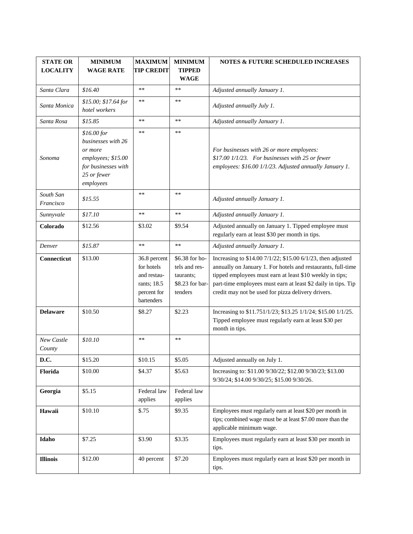| <b>STATE OR</b><br><b>LOCALITY</b> | <b>MINIMUM</b><br><b>WAGE RATE</b>                                                                                    | <b>MAXIMUM</b><br><b>TIP CREDIT</b>                                                   | <b>MINIMUM</b><br><b>TIPPED</b><br><b>WAGE</b>                             | <b>NOTES &amp; FUTURE SCHEDULED INCREASES</b>                                                                                                                                                                                                                                                                  |
|------------------------------------|-----------------------------------------------------------------------------------------------------------------------|---------------------------------------------------------------------------------------|----------------------------------------------------------------------------|----------------------------------------------------------------------------------------------------------------------------------------------------------------------------------------------------------------------------------------------------------------------------------------------------------------|
| Santa Clara                        | \$16.40                                                                                                               | $**$                                                                                  | $**$                                                                       | Adjusted annually January 1.                                                                                                                                                                                                                                                                                   |
| Santa Monica                       | \$15.00; \$17.64 for<br>hotel workers                                                                                 | **                                                                                    | $**$                                                                       | Adjusted annually July 1.                                                                                                                                                                                                                                                                                      |
| Santa Rosa                         | \$15.85                                                                                                               | $**$                                                                                  | $\ast\ast$                                                                 | Adjusted annually January 1.                                                                                                                                                                                                                                                                                   |
| Sonoma                             | \$16.00 for<br>businesses with 26<br>or more<br>employees; \$15.00<br>for businesses with<br>25 or fewer<br>employees | $**$                                                                                  | $\ast\ast$                                                                 | For businesses with 26 or more employees:<br>\$17.00 1/1/23. For businesses with 25 or fewer<br>employees: \$16.00 1/1/23. Adjusted annually January 1.                                                                                                                                                        |
| South San<br>Francisco             | \$15.55                                                                                                               | $**$                                                                                  | $**$                                                                       | Adjusted annually January 1.                                                                                                                                                                                                                                                                                   |
| Sunnyvale                          | \$17.10                                                                                                               | $\ast\ast$                                                                            | $\ast\ast$                                                                 | Adjusted annually January 1.                                                                                                                                                                                                                                                                                   |
| Colorado                           | \$12.56                                                                                                               | \$3.02                                                                                | \$9.54                                                                     | Adjusted annually on January 1. Tipped employee must<br>regularly earn at least \$30 per month in tips.                                                                                                                                                                                                        |
| Denver                             | \$15.87                                                                                                               | $\ast\ast$                                                                            | $\ast\ast$                                                                 | Adjusted annually January 1.                                                                                                                                                                                                                                                                                   |
| Connecticut                        | \$13.00                                                                                                               | 36.8 percent<br>for hotels<br>and restau-<br>rants; 18.5<br>percent for<br>bartenders | \$6.38 for ho-<br>tels and res-<br>taurants;<br>\$8.23 for bar-<br>tenders | Increasing to \$14.00 7/1/22; \$15.00 6/1/23, then adjusted<br>annually on January 1. For hotels and restaurants, full-time<br>tipped employees must earn at least \$10 weekly in tips;<br>part-time employees must earn at least \$2 daily in tips. Tip<br>credit may not be used for pizza delivery drivers. |
| <b>Delaware</b>                    | \$10.50                                                                                                               | \$8.27                                                                                | \$2.23                                                                     | Increasing to \$11.751/1/23; \$13.25 1/1/24; \$15.00 1/1/25.<br>Tipped employee must regularly earn at least \$30 per<br>month in tips.                                                                                                                                                                        |
| New Castle<br>County               | \$10.10                                                                                                               | $\ast\ast$                                                                            | $**$                                                                       |                                                                                                                                                                                                                                                                                                                |
| D.C.                               | \$15.20                                                                                                               | \$10.15                                                                               | \$5.05                                                                     | Adjusted annually on July 1.                                                                                                                                                                                                                                                                                   |
| Florida                            | \$10.00                                                                                                               | \$4.37                                                                                | \$5.63                                                                     | Increasing to: \$11.00 9/30/22; \$12.00 9/30/23; \$13.00<br>9/30/24; \$14.00 9/30/25; \$15.00 9/30/26.                                                                                                                                                                                                         |
| Georgia                            | \$5.15                                                                                                                | Federal law<br>applies                                                                | Federal law<br>applies                                                     |                                                                                                                                                                                                                                                                                                                |
| Hawaii                             | \$10.10                                                                                                               | \$.75                                                                                 | \$9.35                                                                     | Employees must regularly earn at least \$20 per month in<br>tips; combined wage must be at least \$7.00 more than the<br>applicable minimum wage.                                                                                                                                                              |
| Idaho                              | \$7.25                                                                                                                | \$3.90                                                                                | \$3.35                                                                     | Employees must regularly earn at least \$30 per month in<br>tips.                                                                                                                                                                                                                                              |
| <b>Illinois</b>                    | \$12.00                                                                                                               | 40 percent                                                                            | \$7.20                                                                     | Employees must regularly earn at least \$20 per month in<br>tips.                                                                                                                                                                                                                                              |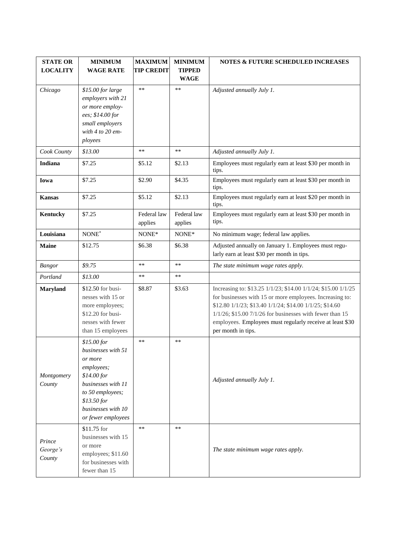| <b>STATE OR</b>              | <b>MINIMUM</b>                                                                                                                                                                                 | <b>MAXIMUM</b>         | <b>MINIMUM</b>               | <b>NOTES &amp; FUTURE SCHEDULED INCREASES</b>                                                                                                                                                                                                                                                                                          |
|------------------------------|------------------------------------------------------------------------------------------------------------------------------------------------------------------------------------------------|------------------------|------------------------------|----------------------------------------------------------------------------------------------------------------------------------------------------------------------------------------------------------------------------------------------------------------------------------------------------------------------------------------|
| <b>LOCALITY</b>              | <b>WAGE RATE</b>                                                                                                                                                                               | <b>TIP CREDIT</b>      | <b>TIPPED</b><br><b>WAGE</b> |                                                                                                                                                                                                                                                                                                                                        |
| Chicago                      | \$15.00 for large<br>employers with 21<br>or more employ-<br>ees; \$14.00 for<br>small employers<br>with $4$ to $20$ em-<br>ployees                                                            | $\ast\ast$             | $\ast\ast$                   | Adjusted annually July 1.                                                                                                                                                                                                                                                                                                              |
| Cook County                  | \$13.00                                                                                                                                                                                        | $\ast\ast$             | $\ast\ast$                   | Adjusted annually July 1.                                                                                                                                                                                                                                                                                                              |
| Indiana                      | \$7.25                                                                                                                                                                                         | \$5.12                 | \$2.13                       | Employees must regularly earn at least \$30 per month in<br>tips.                                                                                                                                                                                                                                                                      |
| Iowa                         | \$7.25                                                                                                                                                                                         | \$2.90                 | \$4.35                       | Employees must regularly earn at least \$30 per month in<br>tips.                                                                                                                                                                                                                                                                      |
| <b>Kansas</b>                | \$7.25                                                                                                                                                                                         | \$5.12                 | \$2.13                       | Employees must regularly earn at least \$20 per month in<br>tips.                                                                                                                                                                                                                                                                      |
| Kentucky                     | \$7.25                                                                                                                                                                                         | Federal law<br>applies | Federal law<br>applies       | Employees must regularly earn at least \$30 per month in<br>tips.                                                                                                                                                                                                                                                                      |
| Louisiana                    | NONE*                                                                                                                                                                                          | NONE*                  | NONE*                        | No minimum wage; federal law applies.                                                                                                                                                                                                                                                                                                  |
| <b>Maine</b>                 | \$12.75                                                                                                                                                                                        | \$6.38                 | \$6.38                       | Adjusted annually on January 1. Employees must regu-<br>larly earn at least \$30 per month in tips.                                                                                                                                                                                                                                    |
| Bangor                       | \$9.75                                                                                                                                                                                         | **                     | $**$                         | The state minimum wage rates apply.                                                                                                                                                                                                                                                                                                    |
| Portland                     | \$13.00                                                                                                                                                                                        | $**$                   | $\ast\ast$                   |                                                                                                                                                                                                                                                                                                                                        |
| <b>Maryland</b>              | \$12.50 for busi-<br>nesses with 15 or<br>more employees;<br>\$12.20 for busi-<br>nesses with fewer<br>than 15 employees                                                                       | \$8.87                 | \$3.63                       | Increasing to: \$13.25 1/1/23; \$14.00 1/1/24; \$15.00 1/1/25<br>for businesses with 15 or more employees. Increasing to:<br>\$12.80 1/1/23; \$13.40 1/1/24; \$14.00 1/1/25; \$14.60<br>$1/1/26$ ; \$15.00 7/1/26 for businesses with fewer than 15<br>employees. Employees must regularly receive at least \$30<br>per month in tips. |
| Montgomery<br>County         | \$15.00 for<br>businesses with 51<br>or more<br>employees;<br>\$14.00 for<br>businesses with 11<br>to 50 employees;<br>\$13.50 for<br>businesses with 10<br>or fewer employees<br>$$11.75$ for | **<br>$\ast\ast$       | $**$<br>$\ast$               | Adjusted annually July 1.                                                                                                                                                                                                                                                                                                              |
| Prince<br>George's<br>County | businesses with 15<br>or more<br>employees; \$11.60<br>for businesses with<br>fewer than 15                                                                                                    |                        |                              | The state minimum wage rates apply.                                                                                                                                                                                                                                                                                                    |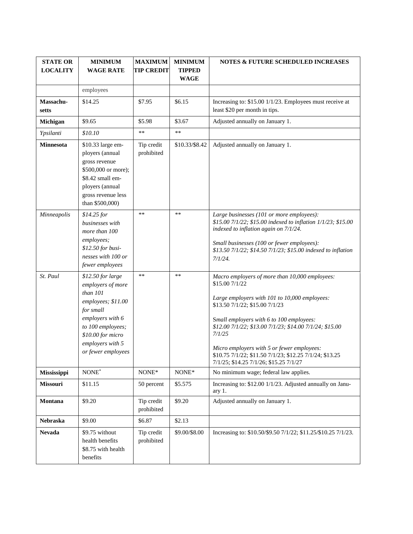| <b>STATE OR</b><br><b>LOCALITY</b> | <b>MINIMUM</b><br><b>WAGE RATE</b>                                                                                                                                                             | <b>MAXIMUM</b><br><b>TIP CREDIT</b> | <b>MINIMUM</b><br><b>TIPPED</b><br><b>WAGE</b> | <b>NOTES &amp; FUTURE SCHEDULED INCREASES</b>                                                                                                                                                                                                                                                                                                                                                                           |
|------------------------------------|------------------------------------------------------------------------------------------------------------------------------------------------------------------------------------------------|-------------------------------------|------------------------------------------------|-------------------------------------------------------------------------------------------------------------------------------------------------------------------------------------------------------------------------------------------------------------------------------------------------------------------------------------------------------------------------------------------------------------------------|
|                                    | employees                                                                                                                                                                                      |                                     |                                                |                                                                                                                                                                                                                                                                                                                                                                                                                         |
| Massachu-<br>setts                 | \$14.25                                                                                                                                                                                        | \$7.95                              | \$6.15                                         | Increasing to: \$15.00 1/1/23. Employees must receive at<br>least \$20 per month in tips.                                                                                                                                                                                                                                                                                                                               |
| Michigan                           | \$9.65                                                                                                                                                                                         | \$5.98                              | \$3.67                                         | Adjusted annually on January 1.                                                                                                                                                                                                                                                                                                                                                                                         |
| Ypsilanti                          | \$10.10                                                                                                                                                                                        | **                                  | $\ast\ast$                                     |                                                                                                                                                                                                                                                                                                                                                                                                                         |
| <b>Minnesota</b>                   | \$10.33 large em-<br>ployers (annual<br>gross revenue<br>\$500,000 or more);<br>\$8.42 small em-<br>ployers (annual<br>gross revenue less<br>than \$500,000)                                   | Tip credit<br>prohibited            | \$10.33/\$8.42                                 | Adjusted annually on January 1.                                                                                                                                                                                                                                                                                                                                                                                         |
| Minneapolis                        | $$14.25$ for<br>businesses with<br>more than 100<br>employees;<br>\$12.50 for busi-<br>nesses with 100 or<br>fewer employees                                                                   | **                                  | $\ast\ast$                                     | Large businesses (101 or more employees):<br>\$15.00 7/1/22; \$15.00 indexed to inflation 1/1/23; \$15.00<br>indexed to inflation again on 7/1/24.<br>Small businesses (100 or fewer employees):<br>\$13.50 7/1/22; \$14.50 7/1/23; \$15.00 indexed to inflation<br>$7/1/24$ .                                                                                                                                          |
| St. Paul                           | $$12.50$ for large<br>employers of more<br>than 101<br>employees; \$11.00<br>for small<br>employers with 6<br>to 100 employees;<br>\$10.00 for micro<br>employers with 5<br>or fewer employees | **                                  | $**$                                           | Macro employers of more than 10,000 employees:<br>\$15.00 7/1/22<br>Large employers with 101 to 10,000 employees:<br>\$13.50 7/1/22; \$15.00 7/1/23<br>Small employers with 6 to 100 employees:<br>\$12.00 7/1/22; \$13.00 7/1/23; \$14.00 7/1/24; \$15.00<br>7/1/25<br>Micro employers with 5 or fewer employees:<br>\$10.75 7/1/22; \$11.50 7/1/23; \$12.25 7/1/24; \$13.25<br>7/1/25; \$14.25 7/1/26; \$15.25 7/1/27 |
| <b>Mississippi</b>                 | $\text{NONE}^*$                                                                                                                                                                                | NONE*                               | NONE*                                          | No minimum wage; federal law applies.                                                                                                                                                                                                                                                                                                                                                                                   |
| Missouri                           | \$11.15                                                                                                                                                                                        | 50 percent                          | \$5.575                                        | Increasing to: \$12.00 1/1/23. Adjusted annually on Janu-<br>ary 1.                                                                                                                                                                                                                                                                                                                                                     |
| Montana                            | \$9.20                                                                                                                                                                                         | Tip credit<br>prohibited            | \$9.20                                         | Adjusted annually on January 1.                                                                                                                                                                                                                                                                                                                                                                                         |
| Nebraska                           | \$9.00                                                                                                                                                                                         | \$6.87                              | \$2.13                                         |                                                                                                                                                                                                                                                                                                                                                                                                                         |
| <b>Nevada</b>                      | \$9.75 without<br>health benefits<br>\$8.75 with health<br>benefits                                                                                                                            | Tip credit<br>prohibited            | \$9.00/\$8.00                                  | Increasing to: \$10.50/\$9.50 7/1/22; \$11.25/\$10.25 7/1/23.                                                                                                                                                                                                                                                                                                                                                           |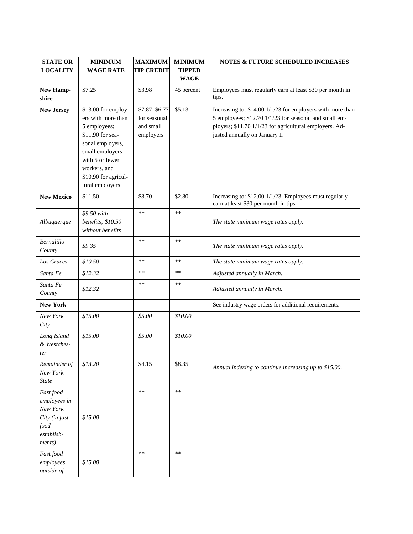| <b>STATE OR</b><br><b>LOCALITY</b>                                                     | <b>MINIMUM</b><br><b>WAGE RATE</b>                                                                                                                                                                 | <b>MAXIMUM</b><br><b>TIP CREDIT</b>                      | <b>MINIMUM</b><br><b>TIPPED</b> | NOTES & FUTURE SCHEDULED INCREASES                                                                                                                                                                               |
|----------------------------------------------------------------------------------------|----------------------------------------------------------------------------------------------------------------------------------------------------------------------------------------------------|----------------------------------------------------------|---------------------------------|------------------------------------------------------------------------------------------------------------------------------------------------------------------------------------------------------------------|
|                                                                                        |                                                                                                                                                                                                    |                                                          | <b>WAGE</b>                     |                                                                                                                                                                                                                  |
| New Hamp-<br>shire                                                                     | \$7.25                                                                                                                                                                                             | \$3.98                                                   | 45 percent                      | Employees must regularly earn at least \$30 per month in<br>tips.                                                                                                                                                |
| <b>New Jersey</b>                                                                      | \$13.00 for employ-<br>ers with more than<br>5 employees;<br>\$11.90 for sea-<br>sonal employers,<br>small employers<br>with 5 or fewer<br>workers, and<br>\$10.90 for agricul-<br>tural employers | \$7.87; \$6.77<br>for seasonal<br>and small<br>employers | \$5.13                          | Increasing to: \$14.00 1/1/23 for employers with more than<br>5 employees; \$12.70 1/1/23 for seasonal and small em-<br>ployers; \$11.70 1/1/23 for agricultural employers. Ad-<br>justed annually on January 1. |
| <b>New Mexico</b>                                                                      | \$11.50                                                                                                                                                                                            | \$8.70                                                   | \$2.80                          | Increasing to: \$12.00 1/1/23. Employees must regularly<br>earn at least \$30 per month in tips.                                                                                                                 |
| Albuquerque                                                                            | \$9.50 with<br>benefits; \$10.50<br>without benefits                                                                                                                                               | $**$                                                     | $**$                            | The state minimum wage rates apply.                                                                                                                                                                              |
| Bernalillo<br>County                                                                   | \$9.35                                                                                                                                                                                             | $\ast\ast$                                               | $\ast\ast$                      | The state minimum wage rates apply.                                                                                                                                                                              |
| Las Cruces                                                                             | \$10.50                                                                                                                                                                                            | **                                                       | **                              | The state minimum wage rates apply.                                                                                                                                                                              |
| Santa Fe                                                                               | \$12.32                                                                                                                                                                                            | **                                                       | $\ast\ast$                      | Adjusted annually in March.                                                                                                                                                                                      |
| Santa Fe<br>County                                                                     | \$12.32                                                                                                                                                                                            | **                                                       | **                              | Adjusted annually in March.                                                                                                                                                                                      |
| <b>New York</b>                                                                        |                                                                                                                                                                                                    |                                                          |                                 | See industry wage orders for additional requirements.                                                                                                                                                            |
| New York<br>City                                                                       | \$15.00                                                                                                                                                                                            | \$5.00                                                   | \$10.00                         |                                                                                                                                                                                                                  |
| Long Island<br>& Westches-<br>ter                                                      | \$15.00                                                                                                                                                                                            | \$5.00                                                   | \$10.00                         |                                                                                                                                                                                                                  |
| Remainder of<br>New York<br><b>State</b>                                               | \$13.20                                                                                                                                                                                            | \$4.15                                                   | \$8.35                          | Annual indexing to continue increasing up to \$15.00.                                                                                                                                                            |
| Fast food<br>employees in<br>New York<br>City (in fast<br>food<br>establish-<br>ments) | \$15.00                                                                                                                                                                                            | $*\ast$                                                  | $**$                            |                                                                                                                                                                                                                  |
| Fast food<br>employees<br>outside of                                                   | \$15.00                                                                                                                                                                                            | $\ast\ast$                                               | $\ast\ast$                      |                                                                                                                                                                                                                  |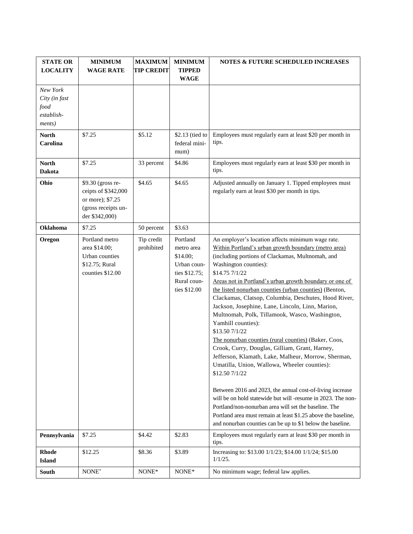| <b>STATE OR</b><br><b>LOCALITY</b>                        | <b>MINIMUM</b><br><b>WAGE RATE</b>                                                                    | <b>MAXIMUM</b><br><b>TIP CREDIT</b> | <b>MINIMUM</b><br><b>TIPPED</b><br><b>WAGE</b>                                                    | <b>NOTES &amp; FUTURE SCHEDULED INCREASES</b>                                                                                                                                                                                                                                                                                                                                                                                                                                                                                                                                                                                                                                                                                                                                                                                                                                                       |
|-----------------------------------------------------------|-------------------------------------------------------------------------------------------------------|-------------------------------------|---------------------------------------------------------------------------------------------------|-----------------------------------------------------------------------------------------------------------------------------------------------------------------------------------------------------------------------------------------------------------------------------------------------------------------------------------------------------------------------------------------------------------------------------------------------------------------------------------------------------------------------------------------------------------------------------------------------------------------------------------------------------------------------------------------------------------------------------------------------------------------------------------------------------------------------------------------------------------------------------------------------------|
| New York<br>City (in fast<br>food<br>establish-<br>ments) |                                                                                                       |                                     |                                                                                                   |                                                                                                                                                                                                                                                                                                                                                                                                                                                                                                                                                                                                                                                                                                                                                                                                                                                                                                     |
| <b>North</b><br>Carolina                                  | \$7.25                                                                                                | \$5.12                              | \$2.13 (tied to<br>federal mini-<br>mum)                                                          | Employees must regularly earn at least \$20 per month in<br>tips.                                                                                                                                                                                                                                                                                                                                                                                                                                                                                                                                                                                                                                                                                                                                                                                                                                   |
| <b>North</b><br><b>Dakota</b>                             | \$7.25                                                                                                | 33 percent                          | \$4.86                                                                                            | Employees must regularly earn at least \$30 per month in<br>tips.                                                                                                                                                                                                                                                                                                                                                                                                                                                                                                                                                                                                                                                                                                                                                                                                                                   |
| Ohio                                                      | \$9.30 (gross re-<br>ceipts of \$342,000<br>or more); \$7.25<br>(gross receipts un-<br>der \$342,000) | \$4.65                              | \$4.65                                                                                            | Adjusted annually on January 1. Tipped employees must<br>regularly earn at least \$30 per month in tips.                                                                                                                                                                                                                                                                                                                                                                                                                                                                                                                                                                                                                                                                                                                                                                                            |
| Oklahoma                                                  | \$7.25                                                                                                | 50 percent                          | \$3.63                                                                                            |                                                                                                                                                                                                                                                                                                                                                                                                                                                                                                                                                                                                                                                                                                                                                                                                                                                                                                     |
| Oregon                                                    | Portland metro<br>area \$14.00;<br>Urban counties<br>\$12.75; Rural<br>counties \$12.00               | Tip credit<br>prohibited            | Portland<br>metro area<br>\$14.00;<br>Urban coun-<br>ties \$12.75;<br>Rural coun-<br>ties \$12.00 | An employer's location affects minimum wage rate.<br>Within Portland's urban growth boundary (metro area)<br>(including portions of Clackamas, Multnomah, and<br>Washington counties):<br>\$14.75 7/1/22<br>Areas not in Portland's urban growth boundary or one of<br>the listed nonurban counties (urban counties) (Benton,<br>Clackamas, Clatsop, Columbia, Deschutes, Hood River,<br>Jackson, Josephine, Lane, Lincoln, Linn, Marion,<br>Multnomah, Polk, Tillamook, Wasco, Washington,<br>Yamhill counties):<br>\$13.50 7/1/22<br>The nonurban counties (rural counties) (Baker, Coos,<br>Crook, Curry, Douglas, Gilliam, Grant, Harney,<br>Jefferson, Klamath, Lake, Malheur, Morrow, Sherman,<br>Umatilla, Union, Wallowa, Wheeler counties):<br>\$12.50 7/1/22<br>Between 2016 and 2023, the annual cost-of-living increase<br>will be on hold statewide but will -resume in 2023. The non- |
|                                                           |                                                                                                       |                                     |                                                                                                   | Portland/non-nonurban area will set the baseline. The<br>Portland area must remain at least \$1.25 above the baseline,<br>and nonurban counties can be up to \$1 below the baseline.                                                                                                                                                                                                                                                                                                                                                                                                                                                                                                                                                                                                                                                                                                                |
| Pennsylvania                                              | \$7.25                                                                                                | \$4.42                              | \$2.83                                                                                            | Employees must regularly earn at least \$30 per month in<br>tips.                                                                                                                                                                                                                                                                                                                                                                                                                                                                                                                                                                                                                                                                                                                                                                                                                                   |
| <b>Rhode</b><br><b>Island</b>                             | \$12.25                                                                                               | \$8.36                              | \$3.89                                                                                            | Increasing to: \$13.00 1/1/23; \$14.00 1/1/24; \$15.00<br>$1/1/25$ .                                                                                                                                                                                                                                                                                                                                                                                                                                                                                                                                                                                                                                                                                                                                                                                                                                |
| South                                                     | NONE*                                                                                                 | NONE*                               | NONE*                                                                                             | No minimum wage; federal law applies.                                                                                                                                                                                                                                                                                                                                                                                                                                                                                                                                                                                                                                                                                                                                                                                                                                                               |